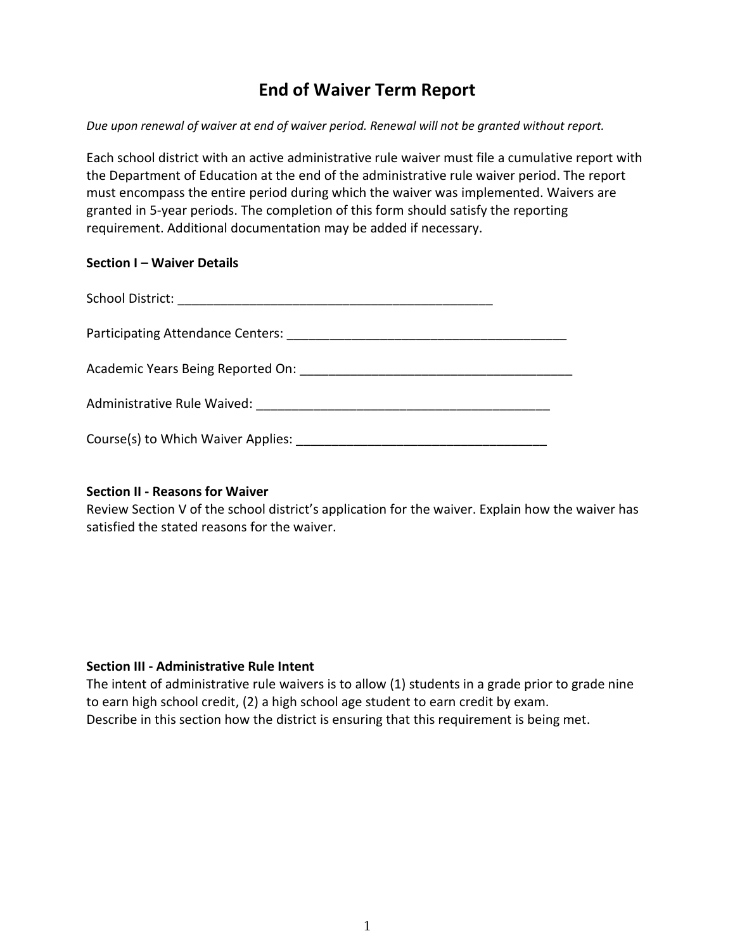# **End of Waiver Term Report**

*Due upon renewal of waiver at end of waiver period. Renewal will not be granted without report.* 

Each school district with an active administrative rule waiver must file a cumulative report with the Department of Education at the end of the administrative rule waiver period. The report must encompass the entire period during which the waiver was implemented. Waivers are granted in 5-year periods. The completion of this form should satisfy the reporting requirement. Additional documentation may be added if necessary.

### **Section I – Waiver Details**

| Academic Years Being Reported On:  |  |
|------------------------------------|--|
| Administrative Rule Waived:        |  |
| Course(s) to Which Waiver Applies: |  |

# **Section II - Reasons for Waiver**

Review Section V of the school district's application for the waiver. Explain how the waiver has satisfied the stated reasons for the waiver.

# **Section III - Administrative Rule Intent**

The intent of administrative rule waivers is to allow (1) students in a grade prior to grade nine to earn high school credit, (2) a high school age student to earn credit by exam. Describe in this section how the district is ensuring that this requirement is being met.